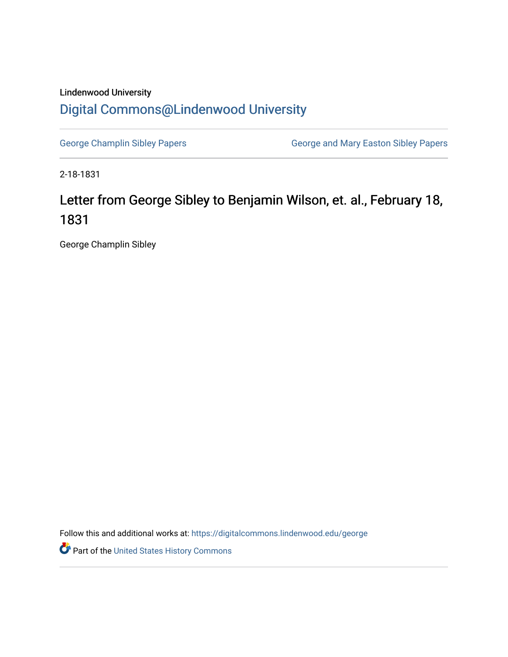## Lindenwood University [Digital Commons@Lindenwood University](https://digitalcommons.lindenwood.edu/)

[George Champlin Sibley Papers](https://digitalcommons.lindenwood.edu/george) **George and Mary Easton Sibley Papers** George and Mary Easton Sibley Papers

2-18-1831

## Letter from George Sibley to Benjamin Wilson, et. al., February 18, 1831

George Champlin Sibley

Follow this and additional works at: [https://digitalcommons.lindenwood.edu/george](https://digitalcommons.lindenwood.edu/george?utm_source=digitalcommons.lindenwood.edu%2Fgeorge%2F287&utm_medium=PDF&utm_campaign=PDFCoverPages)

Part of the [United States History Commons](http://network.bepress.com/hgg/discipline/495?utm_source=digitalcommons.lindenwood.edu%2Fgeorge%2F287&utm_medium=PDF&utm_campaign=PDFCoverPages)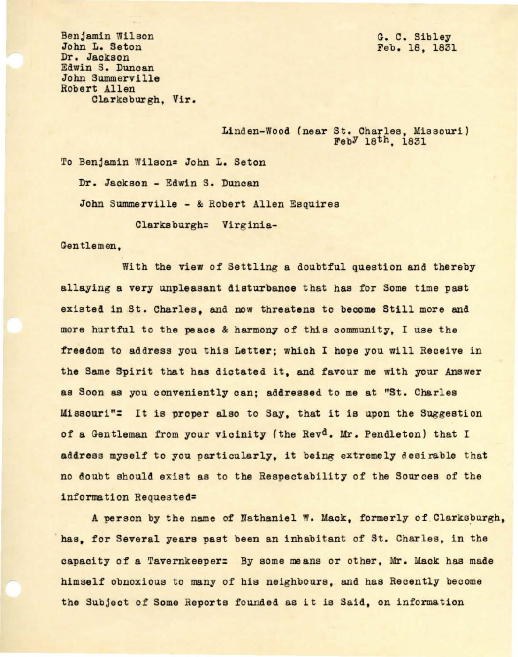G. C. Sibley Feb. 18, 1831

Benjamin Wilson John L. Seton Dr. Jackson **Edwin** s. Duncan John Summerville Robert Allen **Clarksburgh, Vir.** 

> Linden-Wood (near St. Charles, Missouri) FebY 19th, 1831

To Benjamin Wilson= John L. Seton Dr. Jackson - Edwin s. Duncan John Summerville - & Robert Allen Esquires

Clarksburgh= Virginia-

Gentlemen,

With the **view** of Settling a doubtful question and thereby allaying a very unpleasant disturbance that has for Some time past existed in St. Charles, and now threatens to become Still more and more hurtful to the **peace** & harmony of this community, I use the freedom to address you this Letter; which I hope you will Receive in the Same Spirit that has dictated it, and favour me with your Answer as Soon as you conveniently can; **addressed** to me at "St. Charles Missouri"<sup>z</sup> It is proper also to Say, that it is upon the Suggestion of a Gentleman from your vicinity (the Rev<sup>d</sup>. Mr. Pendleton) that I **address** myself to you particularly, it being extremely desirable that no doubt should exist as to the Respectability of the Sources of the information Requested=

A person by the name of Nathaniel W. Mack, formerly of Clarksburgh, has, for Several years past been an inhabitant of St. Charles, in the capacity of a Tavernkeeper: By some means or other, Mr. Mack has made himself obnoxious to many of his neighbours, and has Recently become the Subject of Some Reports founded as it is Said, on information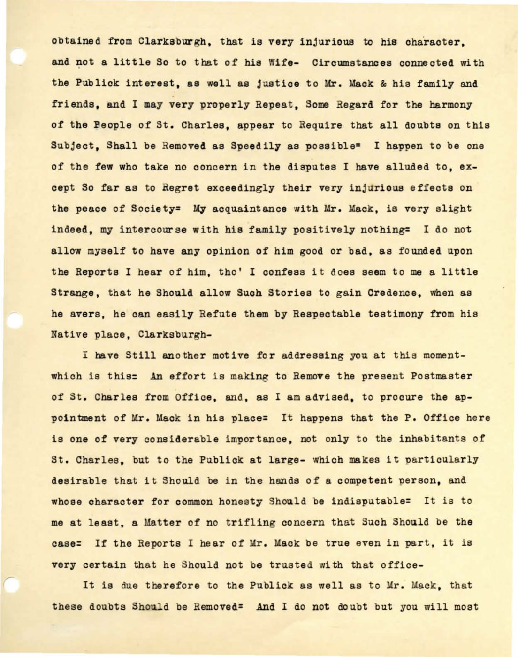obtained from Clarksburgh, that is very injurious to his character. and not a little So to that of his Wife- Circumstances connected with the Publick interest, as well as justice to Mr . Mack & his family and friends, and I may very properly Repeat, Some Regard for the harmony of the People of St. Charles, appear to Require that all doubts on this Subject. Shall be Removed as Speedily as possible<sup>=</sup> I happen to be one of the few who take no concern in the disputes I have alluded to, except So far as to Regret exceedingly their very injurious effects on the peace of Society= My acquaintance with Mr. Mack, is very slight indeed, my intercourse with his family positively nothing= I do not allow myself to have any opinion of him good or bad, as founded upon the Reports I hear of him, tho' I confess it does seem to me a little Strange, that he Should allow Such Stories to gain Credence, when as he avers, he can easily Refute them by Respectable testimony from his Native place, Clarksburgh-

I have Still another motive for addressing you at this momentwhich is this: An effort is making to Remove the present Postmaster of St. Charles from Office, and, as I am advised, to procure the appointment of Mr. Mack in his place= It happens that the P. Office here is one of very considerable importance, not only to the inhabitants of St. Charles, but to the Publick at large- which makes it particularly desirable that it Should be in the hands of a competent person, and whose character for common honesty Should be indisputable= It is to me at least, a Matter of no trifling concern that Such Should be the case= If the Reports I hear of Mr. Mack be true even in part, it is very certain that he Should not be trusted with that office-

It is due therefore to the Publick as well as to Mr. Mack, that these doubts Should be Removed= And I do not doubt but you will most

*r*